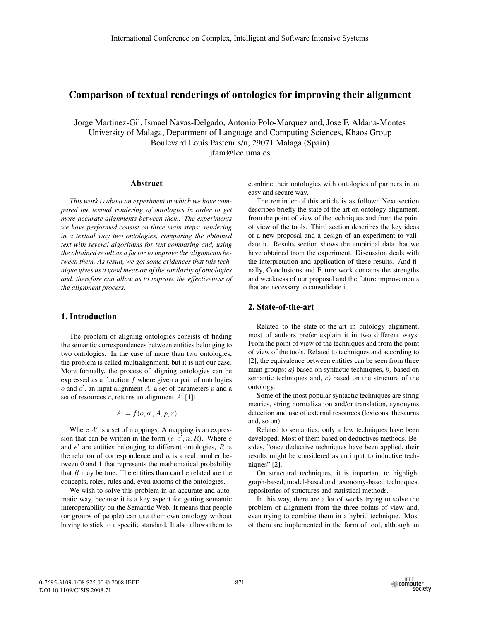# **Comparison of textual renderings of ontologies for improving their alignment**

Jorge Martinez-Gil, Ismael Navas-Delgado, Antonio Polo-Marquez and, Jose F. Aldana-Montes University of Malaga, Department of Language and Computing Sciences, Khaos Group Boulevard Louis Pasteur s/n, 29071 Malaga (Spain) jfam@lcc.uma.es

#### **Abstract**

*This work is about an experiment in which we have compared the textual rendering of ontologies in order to get more accurate alignments between them. The experiments we have performed consist on three main steps: rendering in a textual way two ontologies, comparing the obtained text with several algorithms for text comparing and, using the obtained result as a factor to improve the alignments between them. As result, we got some evidences that this technique gives us a good measure of the similarity of ontologies and, therefore can allow us to improve the effectiveness of the alignment process.*

# **1. Introduction**

The problem of aligning ontologies consists of finding the semantic correspondences between entities belonging to two ontologies. In the case of more than two ontologies, the problem is called multialignment, but it is not our case. More formally, the process of aligning ontologies can be expressed as a function  $f$  where given a pair of ontologies  $o$  and  $o'$ , an input alignment A, a set of parameters p and a set of resources r, returns an alignment  $A'$  [1]:

$$
A' = f(o, o', A, p, r)
$$

Where  $A'$  is a set of mappings. A mapping is an expression that can be written in the form  $(e, e', n, R)$ . Where e and  $e'$  are entities belonging to different ontologies,  $R$  is the relation of correspondence and  $n$  is a real number between 0 and 1 that represents the mathematical probability that  $R$  may be true. The entities than can be related are the concepts, roles, rules and, even axioms of the ontologies.

We wish to solve this problem in an accurate and automatic way, because it is a key aspect for getting semantic interoperability on the Semantic Web. It means that people (or groups of people) can use their own ontology without having to stick to a specific standard. It also allows them to combine their ontologies with ontologies of partners in an easy and secure way.

The reminder of this article is as follow: Next section describes briefly the state of the art on ontology alignment, from the point of view of the techniques and from the point of view of the tools. Third section describes the key ideas of a new proposal and a design of an experiment to validate it. Results section shows the empirical data that we have obtained from the experiment. Discussion deals with the interpretation and application of these results. And finally, Conclusions and Future work contains the strengths and weakness of our proposal and the future improvements that are necessary to consolidate it.

# **2. State-of-the-art**

Related to the state-of-the-art in ontology alignment, most of authors prefer explain it in two different ways: From the point of view of the techniques and from the point of view of the tools. Related to techniques and according to [2], the equivalence between entities can be seen from three main groups: *a)* based on syntactic techniques, *b)* based on semantic techniques and, *c)* based on the structure of the ontology.

Some of the most popular syntactic techniques are string metrics, string normalization and/or translation, synonyms detection and use of external resources (lexicons, thesaurus and, so on).

Related to semantics, only a few techniques have been developed. Most of them based on deductives methods. Besides, "once deductive techniques have been applied, their results might be considered as an input to inductive techniques" [2].

On structural techniques, it is important to highlight graph-based, model-based and taxonomy-based techniques, repositories of structures and statistical methods.

In this way, there are a lot of works trying to solve the problem of alignment from the three points of view and, even trying to combine them in a hybrid technique. Most of them are implemented in the form of tool, although an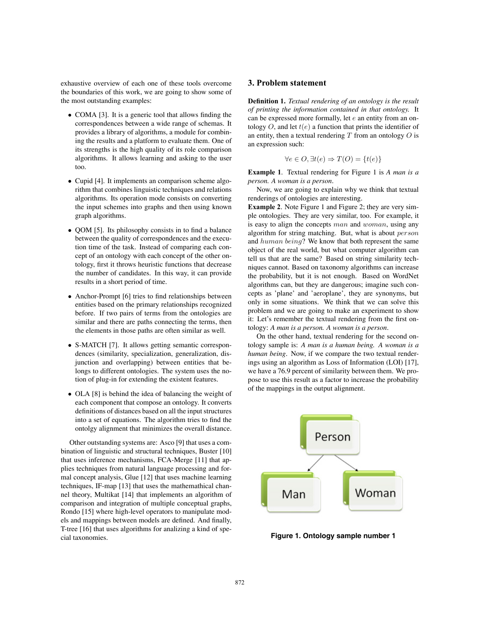exhaustive overview of each one of these tools overcome the boundaries of this work, we are going to show some of the most outstanding examples:

- COMA [3]. It is a generic tool that allows finding the correspondences between a wide range of schemas. It provides a library of algorithms, a module for combining the results and a platform to evaluate them. One of its strengths is the high quality of its role comparison algorithms. It allows learning and asking to the user too.
- Cupid [4]. It implements an comparison scheme algorithm that combines linguistic techniques and relations algorithms. Its operation mode consists on converting the input schemes into graphs and then using known graph algorithms.
- QOM [5]. Its philosophy consists in to find a balance between the quality of correspondences and the execution time of the task. Instead of comparing each concept of an ontology with each concept of the other ontology, first it throws heuristic functions that decrease the number of candidates. In this way, it can provide results in a short period of time.
- Anchor-Prompt [6] tries to find relationships between entities based on the primary relationships recognized before. If two pairs of terms from the ontologies are similar and there are paths connecting the terms, then the elements in those paths are often similar as well.
- S-MATCH [7]. It allows getting semantic correspondences (similarity, specialization, generalization, disjunction and overlapping) between entities that belongs to different ontologies. The system uses the notion of plug-in for extending the existent features.
- OLA [8] is behind the idea of balancing the weight of each component that compose an ontology. It converts definitions of distances based on all the input structures into a set of equations. The algorithm tries to find the ontolgy alignment that minimizes the overall distance.

Other outstanding systems are: Asco [9] that uses a combination of linguistic and structural techniques, Buster [10] that uses inference mechanisms, FCA-Merge [11] that applies techniques from natural language processing and formal concept analysis, Glue [12] that uses machine learning techniques, IF-map [13] that uses the mathemathical channel theory, Multikat [14] that implements an algorithm of comparison and integration of multiple conceptual graphs, Rondo [15] where high-level operators to manipulate models and mappings between models are defined. And finally, T-tree [16] that uses algorithms for analizing a kind of special taxonomies.

### **3. Problem statement**

**Definition 1.** *Textual rendering of an ontology is the result of printing the information contained in that ontology.* It can be expressed more formally, let e an entity from an ontology  $O$ , and let  $t(e)$  a function that prints the identifier of an entity, then a textual rendering  $T$  from an ontology  $O$  is an expression such:

$$
\forall e \in O, \exists t(e) \Rightarrow T(O) = \{t(e)\}
$$

**Example 1**. Textual rendering for Figure 1 is *A man is a person. A woman is a person*.

Now, we are going to explain why we think that textual renderings of ontologies are interesting.

**Example 2.** Note Figure 1 and Figure 2; they are very simple ontologies. They are very similar, too. For example, it is easy to align the concepts man and woman, using any algorithm for string matching. But, what is about person and human being? We know that both represent the same object of the real world, but what computer algorithm can tell us that are the same? Based on string similarity techniques cannot. Based on taxonomy algorithms can increase the probability, but it is not enough. Based on WordNet algorithms can, but they are dangerous; imagine such concepts as 'plane' and 'aeroplane', they are synonyms, but only in some situations. We think that we can solve this problem and we are going to make an experiment to show it: Let's remember the textual rendering from the first ontology: *A man is a person. A woman is a person*.

On the other hand, textual rendering for the second ontology sample is: *A man is a human being. A woman is a human being*. Now, if we compare the two textual renderings using an algorithm as Loss of Information (LOI) [17], we have a 76.9 percent of similarity between them. We propose to use this result as a factor to increase the probability of the mappings in the output alignment.



**Figure 1. Ontology sample number 1**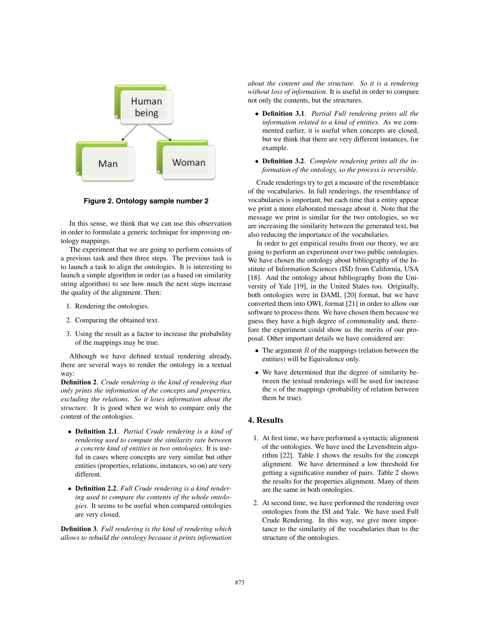

**Figure 2. Ontology sample number 2**

In this sense, we think that we can use this observation in order to formulate a generic technique for improving ontology mappings.

The experiment that we are going to perform consists of a previous task and then three steps. The previous task is to launch a task to align the ontologies. It is interesting to launch a simple algorithm in order (as a based on similarity string algorithm) to see how much the next steps increase the quality of the alignment. Then:

- 1. Rendering the ontologies.
- 2. Comparing the obtained text.
- 3. Using the result as a factor to increase the probability of the mappings may be true.

Although we have defined textual rendering already, there are several ways to render the ontology in a textual way:

**Definition 2**. *Crude rendering is the kind of rendering that only prints the information of the concepts and properties, excluding the relations. So it loses information about the structure.* It is good when we wish to compare only the content of the ontologies.

- **Definition 2.1**. *Partial Crude rendering is a kind of rendering used to compute the similarity rate between a concrete kind of entities in two ontologies.* It is useful in cases where concepts are very similar but other entities (properties, relations, instances, so on) are very different.
- **Definition 2.2**. *Full Crude rendering is a kind rendering used to compare the contents of the whole ontologies.* It seems to be useful when compared ontologies are very closed.

**Definition 3**. *Full rendering is the kind of rendering which allows to rebuild the ontology because it prints information* *about the content and the structure. So it is a rendering without loss of information.* It is useful in order to compare not only the contents, but the structures.

- **Definition 3.1**. *Partial Full rendering prints all the information related to a kind of entities.* As we commented earlier, it is useful when concepts are closed, but we think that there are very different instances, for example.
- **Definition 3.2**. *Complete rendering prints all the information of the ontology, so the process is reversible.*

Crude renderings try to get a measure of the resemblance of the vocabularies. In full renderings, the resemblance of vocabularies is important, but each time that a entity appear we print a more elaborated message about it. Note that the message we print is similar for the two ontologies, so we are increasing the similarity between the generated text, but also reducing the importance of the vocabularies.

In order to get empirical results from our theory, we are going to perform an experiment over two public ontologies. We have chosen the ontology about bibliography of the Institute of Information Sciences (ISI) from California, USA [18]. And the ontology about bibliography from the University of Yale [19], in the United States too. Originally, both ontologies were in DAML [20] format, but we have converted them into OWL format [21] in order to allow our software to process them. We have chosen them because we guess they have a high degree of commonality and, therefore the experiment could show us the merits of our proposal. Other important details we have considered are:

- The argument  $R$  of the mappings (relation between the entities) will be Equivalence only.
- We have determined that the degree of similarity between the textual renderings will be used for increase the  $n$  of the mappings (probability of relation between them be true).

## **4. Results**

- 1. At first time, we have performed a syntactic alignment of the ontologies. We have used the Levenshtein algorithm [22]. Table 1 shows the results for the concept alignment. We have determined a low threshold for getting a significative number of pairs. Table 2 shows the results for the properties alignment. Many of them are the same in both ontologies.
- 2. At second time, we have performed the rendering over ontologies from the ISI and Yale. We have used Full Crude Rendering. In this way, we give more importance to the similarity of the vocabularies than to the structure of the ontologies.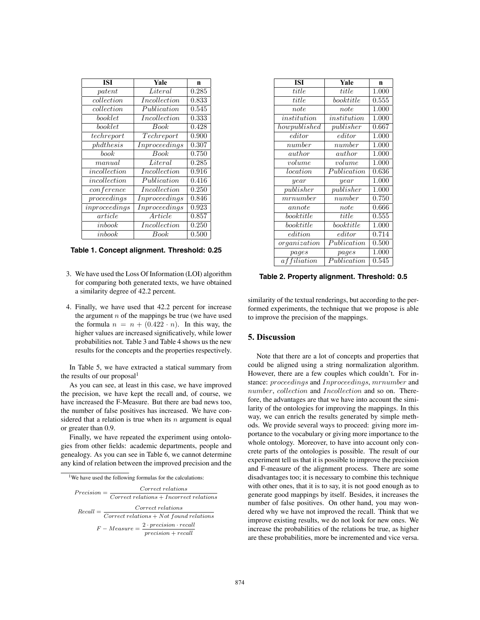| ISI                 | Yale                | n         |
|---------------------|---------------------|-----------|
| pattern             | Literal             | 0.285     |
| collection          | <i>Incollection</i> | 0.833     |
| collection          | Publication         | 0.545     |
| booklet             | Incollection        | 0.333     |
| booklet             | Book                | 0.428     |
| techreport          | Techreport          | 0.900     |
| phdthesis           | Inproceedings       | 0.307     |
| book                | <b>Book</b>         | 0.750     |
| manual              | Literal             | 0.285     |
| incollection        | Incollection        | 0.916     |
| incollection        | Publication         | 0.416     |
| $\emph{conference}$ | Incollection        | 0.250     |
| proceedings         | Inproceedings       | 0.846     |
| in proceeding       | Inproceedings       | 0.923     |
| article             | Article             | 0.857     |
| inbook              | Incollection        | 0.250     |
| inbook              | Book                | $0.500\,$ |

**Table 1. Concept alignment. Threshold: 0.25**

- 3. We have used the Loss Of Information (LOI) algorithm for comparing both generated texts, we have obtained a similarity degree of 42.2 percent.
- 4. Finally, we have used that 42.2 percent for increase the argument  $n$  of the mappings be true (we have used the formula  $n = n + (0.422 \cdot n)$ . In this way, the higher values are increased significatively, while lower probabilities not. Table 3 and Table 4 shows us the new results for the concepts and the properties respectively.

In Table 5, we have extracted a statical summary from the results of our proposal $<sup>1</sup>$ </sup>

As you can see, at least in this case, we have improved the precision, we have kept the recall and, of course, we have increased the F-Measure. But there are bad news too, the number of false positives has increased. We have considered that a relation is true when its  $n$  argument is equal or greater than 0.9.

Finally, we have repeated the experiment using ontologies from other fields: academic departments, people and genealogy. As you can see in Table 6, we cannot determine any kind of relation between the improved precision and the

<sup>1</sup>We have used the following formulas for the calculations:

| Correct relations<br>$Precision =$ |                                                                             |  |
|------------------------------------|-----------------------------------------------------------------------------|--|
|                                    | $Correct$ relations $+Incorrect$ relations                                  |  |
| $Recall =$                         | Correct relations                                                           |  |
|                                    | $Correct$ relations $+$ Not found relations                                 |  |
|                                    | $2 \cdot precision \cdot recall$<br>$F - Measure =$<br>$precision + recall$ |  |

| <b>ISI</b>         | Yale           | n     |
|--------------------|----------------|-------|
| title              | title          | 1.000 |
| title              | book title     | 0.555 |
| note               | note           | 1.000 |
| institution        | institution    | 1.000 |
| how published      | publisher      | 0.667 |
| $_{editor}$        | $_{editor}$    | 1.000 |
| $\it number$       | number         | 1.000 |
| author             | $\it author$   | 1.000 |
| volume             | volume         | 1.000 |
| location           | Publication    | 0.636 |
| year               | year           | 1.000 |
| $_{publicher}$     | $_{publicher}$ | 1.000 |
| mrunuber           | $\it number$   | 0.750 |
| annote             | note           | 0.666 |
| book title         | title          | 0.555 |
| book title         | book title     | 1.000 |
| edition            | editor         | 0.714 |
| or qanization      | Publication    | 0.500 |
| pages              | pages          | 1.000 |
| <i>affiliation</i> | Publication    | 0.545 |

**Table 2. Property alignment. Threshold: 0.5**

similarity of the textual renderings, but according to the performed experiments, the technique that we propose is able to improve the precision of the mappings.

### **5. Discussion**

Note that there are a lot of concepts and properties that could be aligned using a string normalization algorithm. However, there are a few couples which couldn't. For instance: proceedings and Inproceedings, mrnumber and number, collection and Incollection and so on. Therefore, the advantages are that we have into account the similarity of the ontologies for improving the mappings. In this way, we can enrich the results generated by simple methods. We provide several ways to proceed: giving more importance to the vocabulary or giving more importance to the whole ontology. Moreover, to have into account only concrete parts of the ontologies is possible. The result of our experiment tell us that it is possible to improve the precision and F-measure of the alignment process. There are some disadvantages too; it is necessary to combine this technique with other ones, that it is to say, it is not good enough as to generate good mappings by itself. Besides, it increases the number of false positives. On other hand, you may wondered why we have not improved the recall. Think that we improve existing results, we do not look for new ones. We increase the probabilities of the relations be true, as higher are these probabilities, more be incremented and vice versa.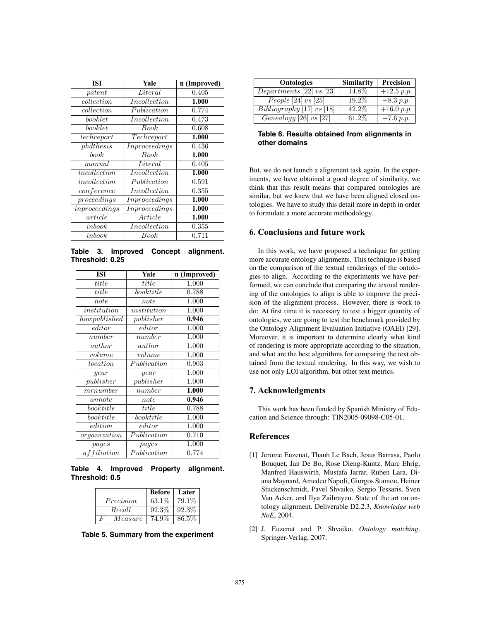| <b>ISI</b>      | Yale            | n (Improved) |
|-----------------|-----------------|--------------|
| patent          | Literal         | 0.405        |
| collection      | Incollection    | 1.000        |
| $\;$ collection | Publication     | 0.774        |
| booklet         | Incollection    | 0.473        |
| booklet         | Book            | 0.608        |
| techreport      | Techreport      | 1.000        |
| phdthesis       | In proceeding s | 0.436        |
| book            | Book            | 1.000        |
| manual          | Literal         | 0.405        |
| incollection    | Incollection    | 1.000        |
| incollection    | Publication     | 0.591        |
| conference      | Incollection    | 0.355        |
| proceedings     | Inproceedings   | 1.000        |
| in proceedings  | In proceeding s | 1.000        |
| article         | Article         | 1.000        |
| inbook          | In collection   | 0.355        |
| inbook          | Book            | 0.711        |

**Table 3. Improved Concept alignment. Threshold: 0.25**

| <b>ISI</b>         | Yale                     | n (Improved) |
|--------------------|--------------------------|--------------|
| title              | title                    | 1.000        |
| title              | booktitle                | 0.788        |
| note               | note                     | 1.000        |
| institution        | institution              | 1.000        |
| how published      | publisher                | 0.946        |
| editor             | editor                   | 1.000        |
| number             | number                   | 1.000        |
| author             | author                   | 1.000        |
| volume             | volume                   | 1.000        |
| location           | Publication              | 0.903        |
| year               | year                     | 1.000        |
| publisher          | pubits her               | 1.000        |
| $m$ rnumber        | number                   | 1.000        |
| annote             | note                     | 0.946        |
| book title         | title                    | 0.788        |
| book title         | book title               | 1.000        |
| edition            | $_{editor}$              | 1.000        |
| organization       | $\overline{Publication}$ | 0.710        |
| pages              | pages                    | 1.000        |
| <i>affiliation</i> | Publication              | 0.774        |

**Table 4. Improved Property alignment. Threshold: 0.5**

|             | <b>Before</b>   Later |          |
|-------------|-----------------------|----------|
| Precision   | $63.1\%$              | 79.1\%   |
| Recall      | $92.3\%$              | $92.3\%$ |
| $F-Measure$ | 74.9%                 | 86.5%    |

**Table 5. Summary from the experiment**

| <b>Ontologies</b>             | <b>Similarity</b> | Precision               |
|-------------------------------|-------------------|-------------------------|
| Departments [22] vs [23]      | 14.8%             | $+12.5 p.p.$            |
| People [24] $vs$ [25]         | 19.2\%            | $+8.3 p.p.$             |
| $Bibliography$ [17] $vs$ [18] | 42.2%             | $\overline{+}16.0 p.p.$ |
| Genealogy [26] vs [27]        | 61.2\%            | $+7.6 p.p.$             |

**Table 6. Results obtained from alignments in other domains**

But, we do not launch a alignment task again. In the experiments, we have obtained a good degree of similarity, we think that this result means that compared ontologies are similar, but we knew that we have been aligned closed ontologies. We have to study this detail more in depth in order to formulate a more accurate methodology.

# **6. Conclusions and future work**

In this work, we have proposed a technique for getting more accurate ontology alignments. This technique is based on the comparison of the textual renderings of the ontologies to align. According to the experiments we have performed, we can conclude that comparing the textual rendering of the ontologies to align is able to improve the precision of the alignment process. However, there is work to do: At first time it is necessary to test a bigger quantity of ontologies, we are going to test the benchmark provided by the Ontology Alignment Evaluation Initiative (OAEI) [29]. Moreover, it is important to determine clearly what kind of rendering is more appropriate according to the situation, and what are the best algorithms for comparing the text obtained from the textual rendering. In this way, we wish to use not only LOI algorithm, but other text metrics.

#### **7. Acknowledgments**

This work has been funded by Spanish Ministry of Education and Science through: TIN2005-09098-C05-01.

### **References**

- [1] Jerome Euzenat, Thanh Le Bach, Jesus Barrasa, Paolo Bouquet, Jan De Bo, Rose Dieng-Kuntz, Marc Ehrig, Manfred Hauswirth, Mustafa Jarrar, Ruben Lara, Diana Maynard, Amedeo Napoli, Giorgos Stamou, Heiner Stuckenschmidt, Pavel Shvaiko, Sergio Tessaris, Sven Van Acker, and Ilya Zaihrayeu. State of the art on ontology alignment. Deliverable D2.2.3, *Knowledge web NoE*, 2004.
- [2] J. Euzenat and P. Shvaiko. *Ontology matching*. Springer-Verlag, 2007.